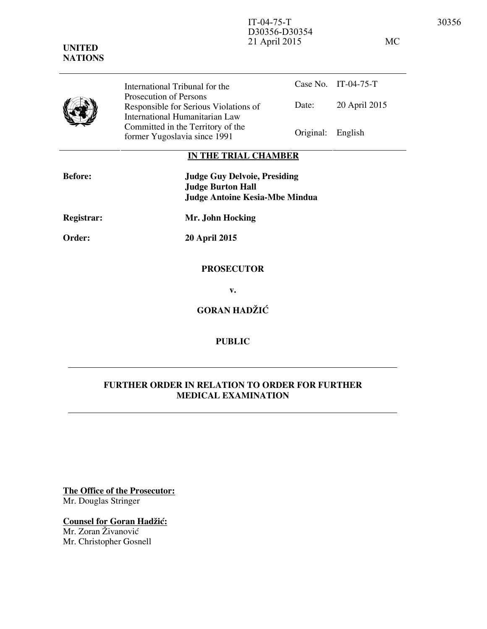| <b>UNITED</b><br><b>NATIONS</b> |                                | D30356-D30354<br>21 April 2015 |                                            |                      | МC |
|---------------------------------|--------------------------------|--------------------------------|--------------------------------------------|----------------------|----|
|                                 | International Tribunal for the |                                |                                            | Case No. IT-04-75-T  |    |
|                                 | Prosecution of Persons<br>.    |                                | $\mathbf{D}$ . $\mathbf{A}$ . $\mathbf{A}$ | $20 \lambda + 12015$ |    |



Date: 20 April 2015 Responsible for Serious Violations of International Humanitarian Law Committed in the Territory of the Former Yugoslavia since 1991 Original: English

## **IN THE TRIAL CHAMBER**

| <b>Before:</b> | <b>Judge Guy Delvoie, Presiding</b><br><b>Judge Burton Hall</b><br><b>Judge Antoine Kesia-Mbe Mindua</b> |
|----------------|----------------------------------------------------------------------------------------------------------|
| Registrar:     | Mr. John Hocking                                                                                         |
| <b>Order:</b>  | <b>20 April 2015</b>                                                                                     |
|                | <b>PROSECUTOR</b>                                                                                        |

**v.** 

**GORAN HADŽIĆ** 

## **PUBLIC**

## **FURTHER ORDER IN RELATION TO ORDER FOR FURTHER MEDICAL EXAMINATION**

**The Office of the Prosecutor:** Mr. Douglas Stringer

## **Counsel for Goran Hadžić:**

Mr. Zoran Živanović Mr. Christopher Gosnell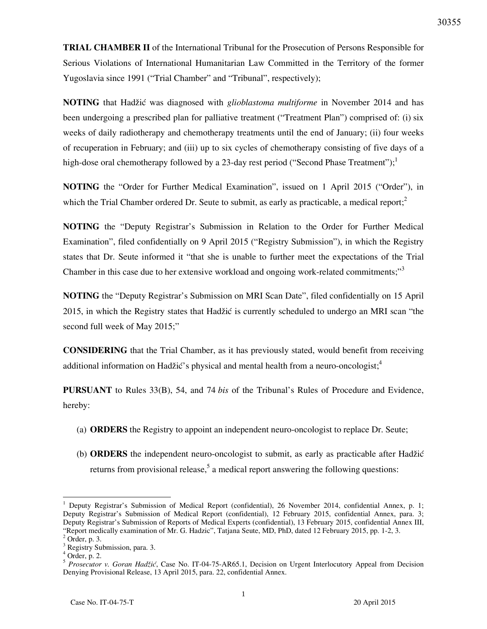**TRIAL CHAMBER II** of the International Tribunal for the Prosecution of Persons Responsible for Serious Violations of International Humanitarian Law Committed in the Territory of the former Yugoslavia since 1991 ("Trial Chamber" and "Tribunal", respectively);

**NOTING** that Hadžić was diagnosed with *glioblastoma multiforme* in November 2014 and has been undergoing a prescribed plan for palliative treatment ("Treatment Plan") comprised of: (i) six weeks of daily radiotherapy and chemotherapy treatments until the end of January; (ii) four weeks of recuperation in February; and (iii) up to six cycles of chemotherapy consisting of five days of a high-dose oral chemotherapy followed by a 23-day rest period ("Second Phase Treatment");<sup>1</sup>

**NOTING** the "Order for Further Medical Examination", issued on 1 April 2015 ("Order"), in which the Trial Chamber ordered Dr. Seute to submit, as early as practicable, a medical report; $^{2}$ 

**NOTING** the "Deputy Registrar's Submission in Relation to the Order for Further Medical Examination", filed confidentially on 9 April 2015 ("Registry Submission"), in which the Registry states that Dr. Seute informed it "that she is unable to further meet the expectations of the Trial Chamber in this case due to her extensive workload and ongoing work-related commitments;"<sup>3</sup>

**NOTING** the "Deputy Registrar's Submission on MRI Scan Date", filed confidentially on 15 April 2015, in which the Registry states that Hadžić is currently scheduled to undergo an MRI scan "the second full week of May 2015;"

**CONSIDERING** that the Trial Chamber, as it has previously stated, would benefit from receiving additional information on Hadžić's physical and mental health from a neuro-oncologist;<sup>4</sup>

**PURSUANT** to Rules 33(B), 54, and 74 *bis* of the Tribunal's Rules of Procedure and Evidence, hereby:

- (a) **ORDERS** the Registry to appoint an independent neuro-oncologist to replace Dr. Seute;
- (b) ORDERS the independent neuro-oncologist to submit, as early as practicable after Hadžić returns from provisional release,<sup>5</sup> a medical report answering the following questions:

 $\overline{a}$ 

<sup>&</sup>lt;sup>1</sup> Deputy Registrar's Submission of Medical Report (confidential), 26 November 2014, confidential Annex, p. 1; Deputy Registrar's Submission of Medical Report (confidential), 12 February 2015, confidential Annex, para. 3; Deputy Registrar's Submission of Reports of Medical Experts (confidential), 13 February 2015, confidential Annex III, "Report medically examination of Mr. G. Hadzic", Tatjana Seute, MD, PhD, dated 12 February 2015, pp. 1-2, 3.

 $<sup>2</sup>$  Order, p. 3.</sup>

<sup>&</sup>lt;sup>3</sup> Registry Submission, para. 3.

 $4$  Order, p. 2.

<sup>&</sup>lt;sup>5</sup> Prosecutor v. Goran Hadžić, Case No. IT-04-75-AR65.1, Decision on Urgent Interlocutory Appeal from Decision Denying Provisional Release, 13 April 2015, para. 22, confidential Annex.